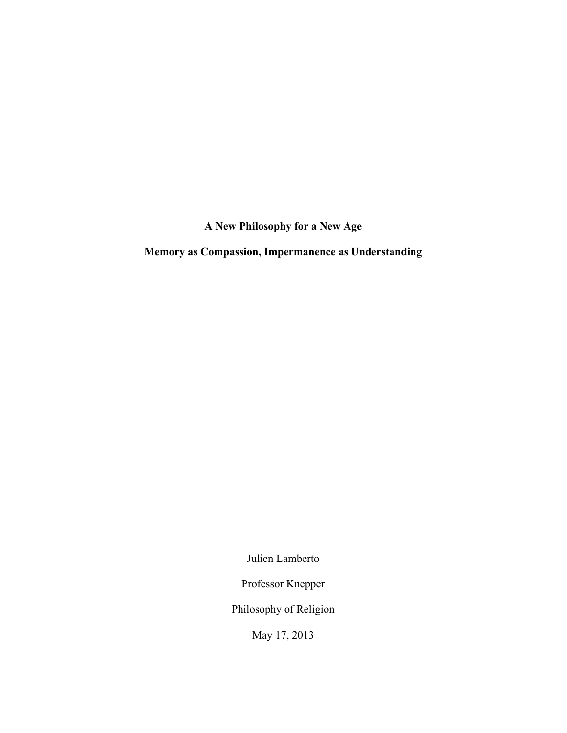**A New Philosophy for a New Age**

**Memory as Compassion, Impermanence as Understanding**

Julien Lamberto

Professor Knepper

Philosophy of Religion

May 17, 2013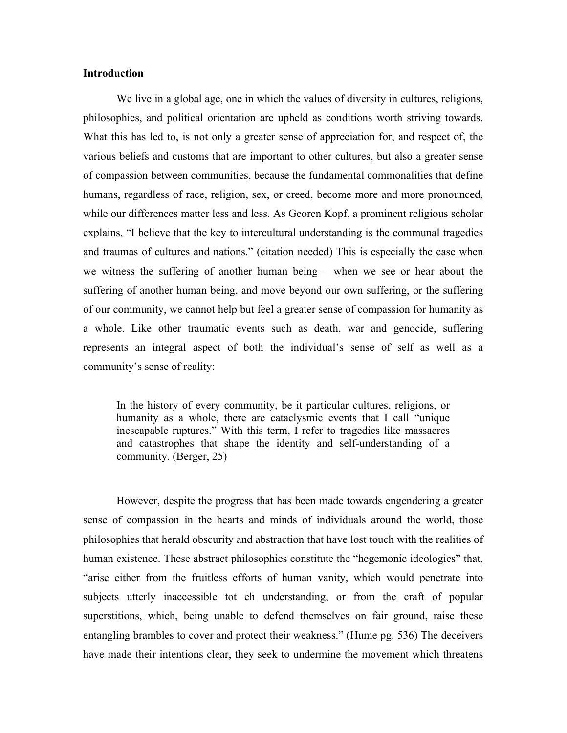## **Introduction**

We live in a global age, one in which the values of diversity in cultures, religions, philosophies, and political orientation are upheld as conditions worth striving towards. What this has led to, is not only a greater sense of appreciation for, and respect of, the various beliefs and customs that are important to other cultures, but also a greater sense of compassion between communities, because the fundamental commonalities that define humans, regardless of race, religion, sex, or creed, become more and more pronounced, while our differences matter less and less. As Georen Kopf, a prominent religious scholar explains, "I believe that the key to intercultural understanding is the communal tragedies and traumas of cultures and nations." (citation needed) This is especially the case when we witness the suffering of another human being – when we see or hear about the suffering of another human being, and move beyond our own suffering, or the suffering of our community, we cannot help but feel a greater sense of compassion for humanity as a whole. Like other traumatic events such as death, war and genocide, suffering represents an integral aspect of both the individual's sense of self as well as a community's sense of reality:

In the history of every community, be it particular cultures, religions, or humanity as a whole, there are cataclysmic events that I call "unique inescapable ruptures." With this term, I refer to tragedies like massacres and catastrophes that shape the identity and self-understanding of a community. (Berger, 25)

However, despite the progress that has been made towards engendering a greater sense of compassion in the hearts and minds of individuals around the world, those philosophies that herald obscurity and abstraction that have lost touch with the realities of human existence. These abstract philosophies constitute the "hegemonic ideologies" that, "arise either from the fruitless efforts of human vanity, which would penetrate into subjects utterly inaccessible tot eh understanding, or from the craft of popular superstitions, which, being unable to defend themselves on fair ground, raise these entangling brambles to cover and protect their weakness." (Hume pg. 536) The deceivers have made their intentions clear, they seek to undermine the movement which threatens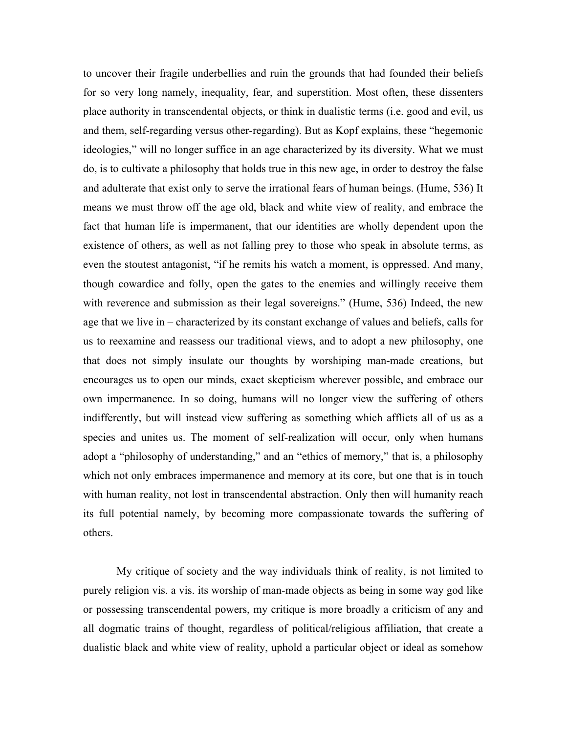to uncover their fragile underbellies and ruin the grounds that had founded their beliefs for so very long namely, inequality, fear, and superstition. Most often, these dissenters place authority in transcendental objects, or think in dualistic terms (i.e. good and evil, us and them, self-regarding versus other-regarding). But as Kopf explains, these "hegemonic ideologies," will no longer suffice in an age characterized by its diversity. What we must do, is to cultivate a philosophy that holds true in this new age, in order to destroy the false and adulterate that exist only to serve the irrational fears of human beings. (Hume, 536) It means we must throw off the age old, black and white view of reality, and embrace the fact that human life is impermanent, that our identities are wholly dependent upon the existence of others, as well as not falling prey to those who speak in absolute terms, as even the stoutest antagonist, "if he remits his watch a moment, is oppressed. And many, though cowardice and folly, open the gates to the enemies and willingly receive them with reverence and submission as their legal sovereigns." (Hume, 536) Indeed, the new age that we live in – characterized by its constant exchange of values and beliefs, calls for us to reexamine and reassess our traditional views, and to adopt a new philosophy, one that does not simply insulate our thoughts by worshiping man-made creations, but encourages us to open our minds, exact skepticism wherever possible, and embrace our own impermanence. In so doing, humans will no longer view the suffering of others indifferently, but will instead view suffering as something which afflicts all of us as a species and unites us. The moment of self-realization will occur, only when humans adopt a "philosophy of understanding," and an "ethics of memory," that is, a philosophy which not only embraces impermanence and memory at its core, but one that is in touch with human reality, not lost in transcendental abstraction. Only then will humanity reach its full potential namely, by becoming more compassionate towards the suffering of others.

My critique of society and the way individuals think of reality, is not limited to purely religion vis. a vis. its worship of man-made objects as being in some way god like or possessing transcendental powers, my critique is more broadly a criticism of any and all dogmatic trains of thought, regardless of political/religious affiliation, that create a dualistic black and white view of reality, uphold a particular object or ideal as somehow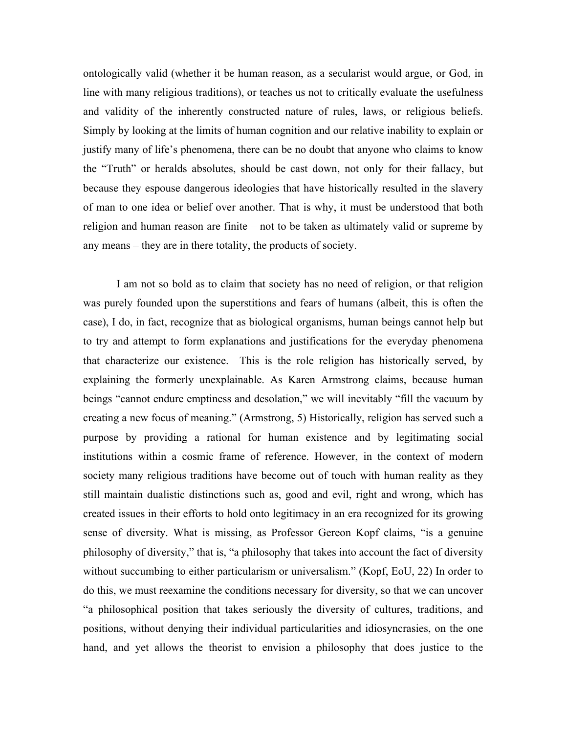ontologically valid (whether it be human reason, as a secularist would argue, or God, in line with many religious traditions), or teaches us not to critically evaluate the usefulness and validity of the inherently constructed nature of rules, laws, or religious beliefs. Simply by looking at the limits of human cognition and our relative inability to explain or justify many of life's phenomena, there can be no doubt that anyone who claims to know the "Truth" or heralds absolutes, should be cast down, not only for their fallacy, but because they espouse dangerous ideologies that have historically resulted in the slavery of man to one idea or belief over another. That is why, it must be understood that both religion and human reason are finite – not to be taken as ultimately valid or supreme by any means – they are in there totality, the products of society.

I am not so bold as to claim that society has no need of religion, or that religion was purely founded upon the superstitions and fears of humans (albeit, this is often the case), I do, in fact, recognize that as biological organisms, human beings cannot help but to try and attempt to form explanations and justifications for the everyday phenomena that characterize our existence. This is the role religion has historically served, by explaining the formerly unexplainable. As Karen Armstrong claims, because human beings "cannot endure emptiness and desolation," we will inevitably "fill the vacuum by creating a new focus of meaning." (Armstrong, 5) Historically, religion has served such a purpose by providing a rational for human existence and by legitimating social institutions within a cosmic frame of reference. However, in the context of modern society many religious traditions have become out of touch with human reality as they still maintain dualistic distinctions such as, good and evil, right and wrong, which has created issues in their efforts to hold onto legitimacy in an era recognized for its growing sense of diversity. What is missing, as Professor Gereon Kopf claims, "is a genuine philosophy of diversity," that is, "a philosophy that takes into account the fact of diversity without succumbing to either particularism or universalism." (Kopf, EoU, 22) In order to do this, we must reexamine the conditions necessary for diversity, so that we can uncover "a philosophical position that takes seriously the diversity of cultures, traditions, and positions, without denying their individual particularities and idiosyncrasies, on the one hand, and yet allows the theorist to envision a philosophy that does justice to the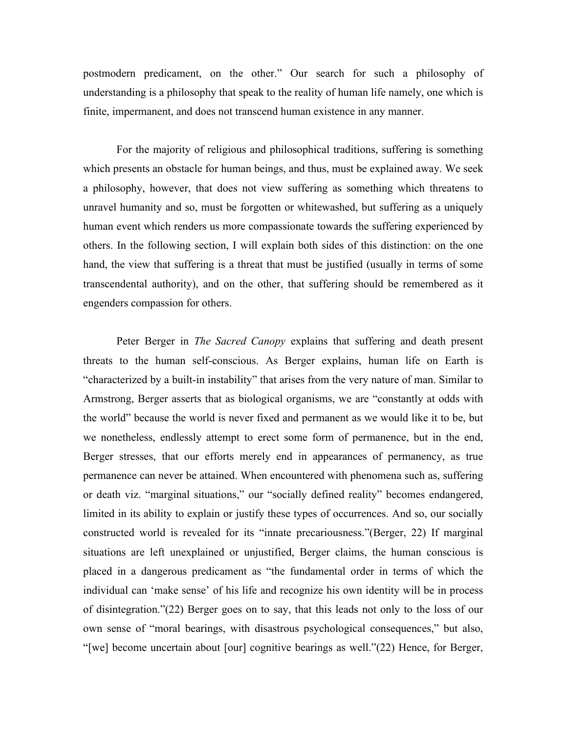postmodern predicament, on the other." Our search for such a philosophy of understanding is a philosophy that speak to the reality of human life namely, one which is finite, impermanent, and does not transcend human existence in any manner.

For the majority of religious and philosophical traditions, suffering is something which presents an obstacle for human beings, and thus, must be explained away. We seek a philosophy, however, that does not view suffering as something which threatens to unravel humanity and so, must be forgotten or whitewashed, but suffering as a uniquely human event which renders us more compassionate towards the suffering experienced by others. In the following section, I will explain both sides of this distinction: on the one hand, the view that suffering is a threat that must be justified (usually in terms of some transcendental authority), and on the other, that suffering should be remembered as it engenders compassion for others.

Peter Berger in *The Sacred Canopy* explains that suffering and death present threats to the human self-conscious. As Berger explains, human life on Earth is "characterized by a built-in instability" that arises from the very nature of man. Similar to Armstrong, Berger asserts that as biological organisms, we are "constantly at odds with the world" because the world is never fixed and permanent as we would like it to be, but we nonetheless, endlessly attempt to erect some form of permanence, but in the end, Berger stresses, that our efforts merely end in appearances of permanency, as true permanence can never be attained. When encountered with phenomena such as, suffering or death viz. "marginal situations," our "socially defined reality" becomes endangered, limited in its ability to explain or justify these types of occurrences. And so, our socially constructed world is revealed for its "innate precariousness."(Berger, 22) If marginal situations are left unexplained or unjustified, Berger claims, the human conscious is placed in a dangerous predicament as "the fundamental order in terms of which the individual can 'make sense' of his life and recognize his own identity will be in process of disintegration."(22) Berger goes on to say, that this leads not only to the loss of our own sense of "moral bearings, with disastrous psychological consequences," but also, "[we] become uncertain about [our] cognitive bearings as well."(22) Hence, for Berger,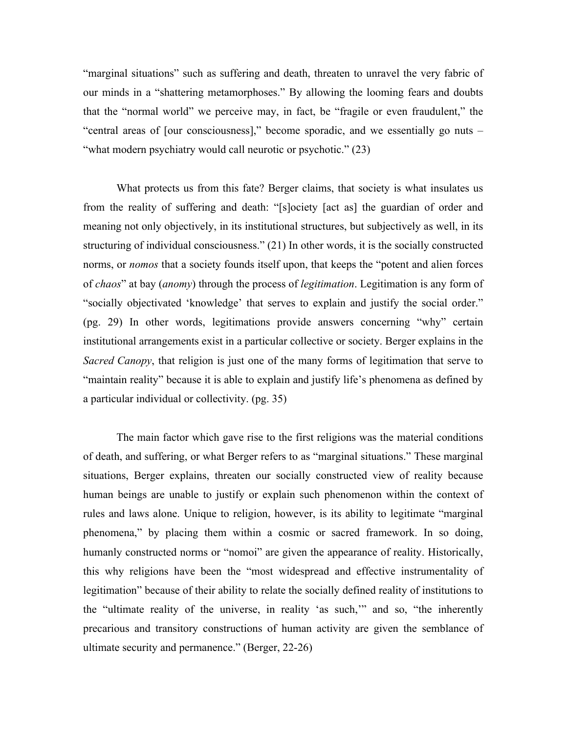"marginal situations" such as suffering and death, threaten to unravel the very fabric of our minds in a "shattering metamorphoses." By allowing the looming fears and doubts that the "normal world" we perceive may, in fact, be "fragile or even fraudulent," the "central areas of [our consciousness]," become sporadic, and we essentially go nuts – "what modern psychiatry would call neurotic or psychotic." (23)

What protects us from this fate? Berger claims, that society is what insulates us from the reality of suffering and death: "[s]ociety [act as] the guardian of order and meaning not only objectively, in its institutional structures, but subjectively as well, in its structuring of individual consciousness." (21) In other words, it is the socially constructed norms, or *nomos* that a society founds itself upon, that keeps the "potent and alien forces of *chaos*" at bay (*anomy*) through the process of *legitimation*. Legitimation is any form of "socially objectivated 'knowledge' that serves to explain and justify the social order." (pg. 29) In other words, legitimations provide answers concerning "why" certain institutional arrangements exist in a particular collective or society. Berger explains in the *Sacred Canopy*, that religion is just one of the many forms of legitimation that serve to "maintain reality" because it is able to explain and justify life's phenomena as defined by a particular individual or collectivity. (pg. 35)

The main factor which gave rise to the first religions was the material conditions of death, and suffering, or what Berger refers to as "marginal situations." These marginal situations, Berger explains, threaten our socially constructed view of reality because human beings are unable to justify or explain such phenomenon within the context of rules and laws alone. Unique to religion, however, is its ability to legitimate "marginal phenomena," by placing them within a cosmic or sacred framework. In so doing, humanly constructed norms or "nomoi" are given the appearance of reality. Historically, this why religions have been the "most widespread and effective instrumentality of legitimation" because of their ability to relate the socially defined reality of institutions to the "ultimate reality of the universe, in reality 'as such,'" and so, "the inherently precarious and transitory constructions of human activity are given the semblance of ultimate security and permanence." (Berger, 22-26)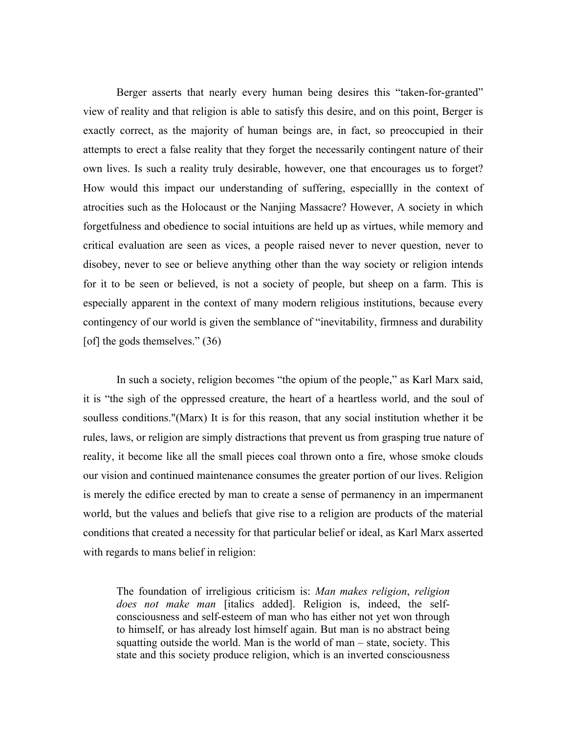Berger asserts that nearly every human being desires this "taken-for-granted" view of reality and that religion is able to satisfy this desire, and on this point, Berger is exactly correct, as the majority of human beings are, in fact, so preoccupied in their attempts to erect a false reality that they forget the necessarily contingent nature of their own lives. Is such a reality truly desirable, however, one that encourages us to forget? How would this impact our understanding of suffering, especiallly in the context of atrocities such as the Holocaust or the Nanjing Massacre? However, A society in which forgetfulness and obedience to social intuitions are held up as virtues, while memory and critical evaluation are seen as vices, a people raised never to never question, never to disobey, never to see or believe anything other than the way society or religion intends for it to be seen or believed, is not a society of people, but sheep on a farm. This is especially apparent in the context of many modern religious institutions, because every contingency of our world is given the semblance of "inevitability, firmness and durability [of] the gods themselves." (36)

In such a society, religion becomes "the opium of the people," as Karl Marx said, it is "the sigh of the oppressed creature, the heart of a heartless world, and the soul of soulless conditions."(Marx) It is for this reason, that any social institution whether it be rules, laws, or religion are simply distractions that prevent us from grasping true nature of reality, it become like all the small pieces coal thrown onto a fire, whose smoke clouds our vision and continued maintenance consumes the greater portion of our lives. Religion is merely the edifice erected by man to create a sense of permanency in an impermanent world, but the values and beliefs that give rise to a religion are products of the material conditions that created a necessity for that particular belief or ideal, as Karl Marx asserted with regards to mans belief in religion:

The foundation of irreligious criticism is: *Man makes religion*, *religion does not make man* [italics added]. Religion is, indeed, the selfconsciousness and self-esteem of man who has either not yet won through to himself, or has already lost himself again. But man is no abstract being squatting outside the world. Man is the world of man – state, society. This state and this society produce religion, which is an inverted consciousness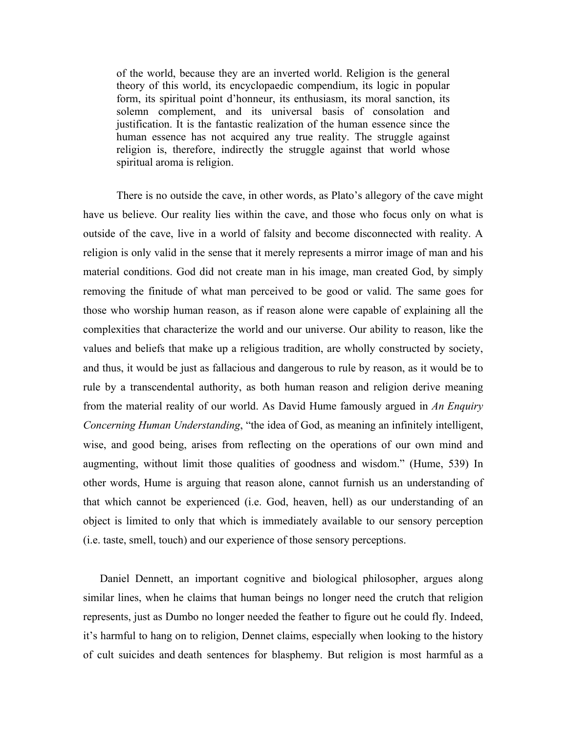of the world, because they are an inverted world. Religion is the general theory of this world, its encyclopaedic compendium, its logic in popular form, its spiritual point d'honneur, its enthusiasm, its moral sanction, its solemn complement, and its universal basis of consolation and justification. It is the fantastic realization of the human essence since the human essence has not acquired any true reality. The struggle against religion is, therefore, indirectly the struggle against that world whose spiritual aroma is religion.

There is no outside the cave, in other words, as Plato's allegory of the cave might have us believe. Our reality lies within the cave, and those who focus only on what is outside of the cave, live in a world of falsity and become disconnected with reality. A religion is only valid in the sense that it merely represents a mirror image of man and his material conditions. God did not create man in his image, man created God, by simply removing the finitude of what man perceived to be good or valid. The same goes for those who worship human reason, as if reason alone were capable of explaining all the complexities that characterize the world and our universe. Our ability to reason, like the values and beliefs that make up a religious tradition, are wholly constructed by society, and thus, it would be just as fallacious and dangerous to rule by reason, as it would be to rule by a transcendental authority, as both human reason and religion derive meaning from the material reality of our world. As David Hume famously argued in *An Enquiry Concerning Human Understanding*, "the idea of God, as meaning an infinitely intelligent, wise, and good being, arises from reflecting on the operations of our own mind and augmenting, without limit those qualities of goodness and wisdom." (Hume, 539) In other words, Hume is arguing that reason alone, cannot furnish us an understanding of that which cannot be experienced (i.e. God, heaven, hell) as our understanding of an object is limited to only that which is immediately available to our sensory perception (i.e. taste, smell, touch) and our experience of those sensory perceptions.

Daniel Dennett, an important cognitive and biological philosopher, argues along similar lines, when he claims that human beings no longer need the crutch that religion represents, just as Dumbo no longer needed the feather to figure out he could fly. Indeed, it's harmful to hang on to religion, Dennet claims, especially when looking to the history of cult suicides and death sentences for blasphemy. But religion is most harmful as a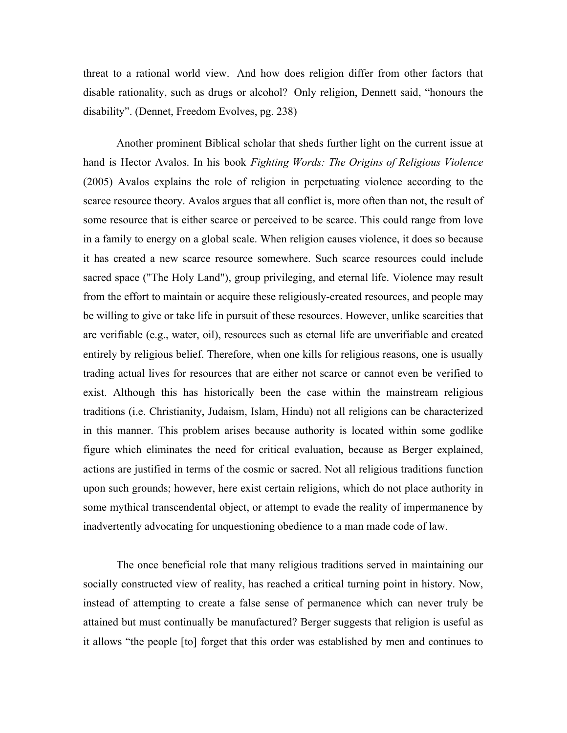threat to a rational world view. And how does religion differ from other factors that disable rationality, such as drugs or alcohol? Only religion, Dennett said, "honours the disability". (Dennet, Freedom Evolves, pg. 238)

Another prominent Biblical scholar that sheds further light on the current issue at hand is Hector Avalos. In his book *Fighting Words: The Origins of Religious Violence* (2005) Avalos explains the role of religion in perpetuating violence according to the scarce resource theory. Avalos argues that all conflict is, more often than not, the result of some resource that is either scarce or perceived to be scarce. This could range from love in a family to energy on a global scale. When religion causes violence, it does so because it has created a new scarce resource somewhere. Such scarce resources could include sacred space ("The Holy Land"), group privileging, and eternal life. Violence may result from the effort to maintain or acquire these religiously-created resources, and people may be willing to give or take life in pursuit of these resources. However, unlike scarcities that are verifiable (e.g., water, oil), resources such as eternal life are unverifiable and created entirely by religious belief. Therefore, when one kills for religious reasons, one is usually trading actual lives for resources that are either not scarce or cannot even be verified to exist. Although this has historically been the case within the mainstream religious traditions (i.e. Christianity, Judaism, Islam, Hindu) not all religions can be characterized in this manner. This problem arises because authority is located within some godlike figure which eliminates the need for critical evaluation, because as Berger explained, actions are justified in terms of the cosmic or sacred. Not all religious traditions function upon such grounds; however, here exist certain religions, which do not place authority in some mythical transcendental object, or attempt to evade the reality of impermanence by inadvertently advocating for unquestioning obedience to a man made code of law.

The once beneficial role that many religious traditions served in maintaining our socially constructed view of reality, has reached a critical turning point in history. Now, instead of attempting to create a false sense of permanence which can never truly be attained but must continually be manufactured? Berger suggests that religion is useful as it allows "the people [to] forget that this order was established by men and continues to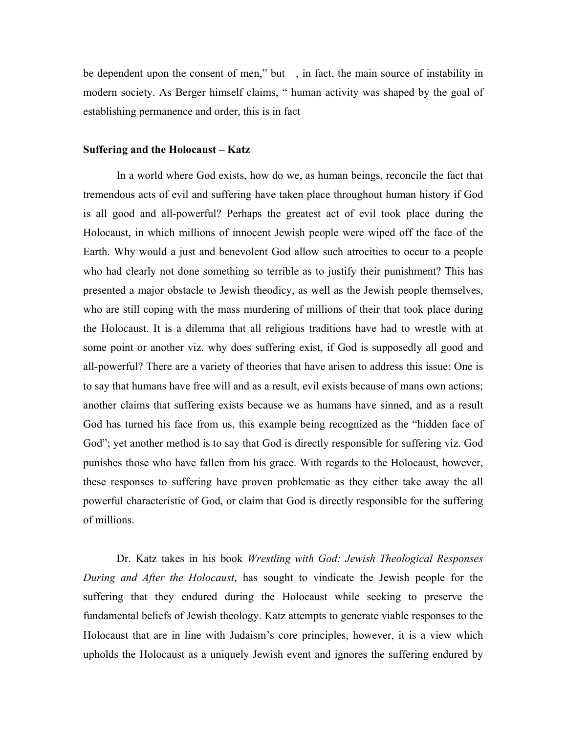be dependent upon the consent of men," but , in fact, the main source of instability in modern society. As Berger himself claims, " human activity was shaped by the goal of establishing permanence and order, this is in fact

## **Suffering and the Holocaust – Katz**

In a world where God exists, how do we, as human beings, reconcile the fact that tremendous acts of evil and suffering have taken place throughout human history if God is all good and all-powerful? Perhaps the greatest act of evil took place during the Holocaust, in which millions of innocent Jewish people were wiped off the face of the Earth. Why would a just and benevolent God allow such atrocities to occur to a people who had clearly not done something so terrible as to justify their punishment? This has presented a major obstacle to Jewish theodicy, as well as the Jewish people themselves, who are still coping with the mass murdering of millions of their that took place during the Holocaust. It is a dilemma that all religious traditions have had to wrestle with at some point or another viz. why does suffering exist, if God is supposedly all good and all-powerful? There are a variety of theories that have arisen to address this issue: One is to say that humans have free will and as a result, evil exists because of mans own actions; another claims that suffering exists because we as humans have sinned, and as a result God has turned his face from us, this example being recognized as the "hidden face of God"; yet another method is to say that God is directly responsible for suffering viz. God punishes those who have fallen from his grace. With regards to the Holocaust, however, these responses to suffering have proven problematic as they either take away the all powerful characteristic of God, or claim that God is directly responsible for the suffering of millions.

Dr. Katz takes in his book *Wrestling with God: Jewish Theological Responses During and After the Holocaust*, has sought to vindicate the Jewish people for the suffering that they endured during the Holocaust while seeking to preserve the fundamental beliefs of Jewish theology. Katz attempts to generate viable responses to the Holocaust that are in line with Judaism's core principles, however, it is a view which upholds the Holocaust as a uniquely Jewish event and ignores the suffering endured by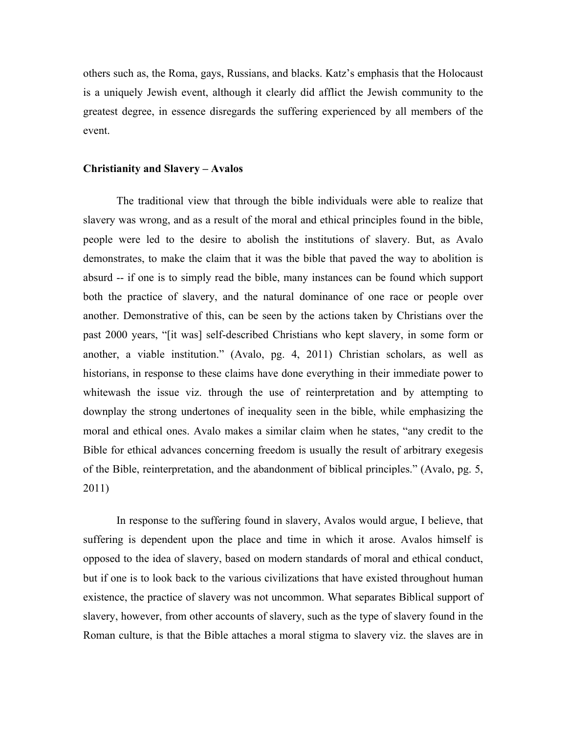others such as, the Roma, gays, Russians, and blacks. Katz's emphasis that the Holocaust is a uniquely Jewish event, although it clearly did afflict the Jewish community to the greatest degree, in essence disregards the suffering experienced by all members of the event.

### **Christianity and Slavery – Avalos**

The traditional view that through the bible individuals were able to realize that slavery was wrong, and as a result of the moral and ethical principles found in the bible, people were led to the desire to abolish the institutions of slavery. But, as Avalo demonstrates, to make the claim that it was the bible that paved the way to abolition is absurd -- if one is to simply read the bible, many instances can be found which support both the practice of slavery, and the natural dominance of one race or people over another. Demonstrative of this, can be seen by the actions taken by Christians over the past 2000 years, "[it was] self-described Christians who kept slavery, in some form or another, a viable institution." (Avalo, pg. 4, 2011) Christian scholars, as well as historians, in response to these claims have done everything in their immediate power to whitewash the issue viz. through the use of reinterpretation and by attempting to downplay the strong undertones of inequality seen in the bible, while emphasizing the moral and ethical ones. Avalo makes a similar claim when he states, "any credit to the Bible for ethical advances concerning freedom is usually the result of arbitrary exegesis of the Bible, reinterpretation, and the abandonment of biblical principles." (Avalo, pg. 5, 2011)

In response to the suffering found in slavery, Avalos would argue, I believe, that suffering is dependent upon the place and time in which it arose. Avalos himself is opposed to the idea of slavery, based on modern standards of moral and ethical conduct, but if one is to look back to the various civilizations that have existed throughout human existence, the practice of slavery was not uncommon. What separates Biblical support of slavery, however, from other accounts of slavery, such as the type of slavery found in the Roman culture, is that the Bible attaches a moral stigma to slavery viz. the slaves are in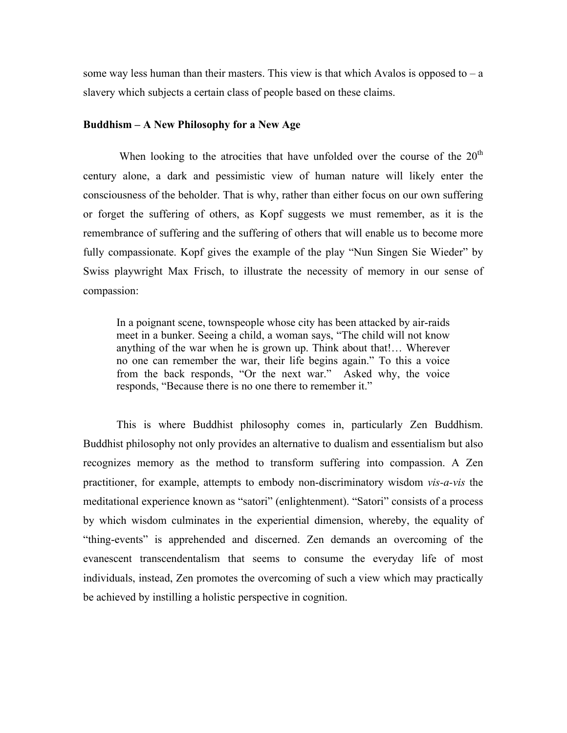some way less human than their masters. This view is that which Avalos is opposed to  $-a$ slavery which subjects a certain class of people based on these claims.

## **Buddhism – A New Philosophy for a New Age**

When looking to the atrocities that have unfolded over the course of the  $20<sup>th</sup>$ century alone, a dark and pessimistic view of human nature will likely enter the consciousness of the beholder. That is why, rather than either focus on our own suffering or forget the suffering of others, as Kopf suggests we must remember, as it is the remembrance of suffering and the suffering of others that will enable us to become more fully compassionate. Kopf gives the example of the play "Nun Singen Sie Wieder" by Swiss playwright Max Frisch, to illustrate the necessity of memory in our sense of compassion:

In a poignant scene, townspeople whose city has been attacked by air-raids meet in a bunker. Seeing a child, a woman says, "The child will not know anything of the war when he is grown up. Think about that!… Wherever no one can remember the war, their life begins again." To this a voice from the back responds, "Or the next war." Asked why, the voice responds, "Because there is no one there to remember it."

This is where Buddhist philosophy comes in, particularly Zen Buddhism. Buddhist philosophy not only provides an alternative to dualism and essentialism but also recognizes memory as the method to transform suffering into compassion. A Zen practitioner, for example, attempts to embody non-discriminatory wisdom *vis-a-vis* the meditational experience known as "satori" (enlightenment). "Satori" consists of a process by which wisdom culminates in the experiential dimension, whereby, the equality of "thing-events" is apprehended and discerned. Zen demands an overcoming of the evanescent transcendentalism that seems to consume the everyday life of most individuals, instead, Zen promotes the overcoming of such a view which may practically be achieved by instilling a holistic perspective in cognition.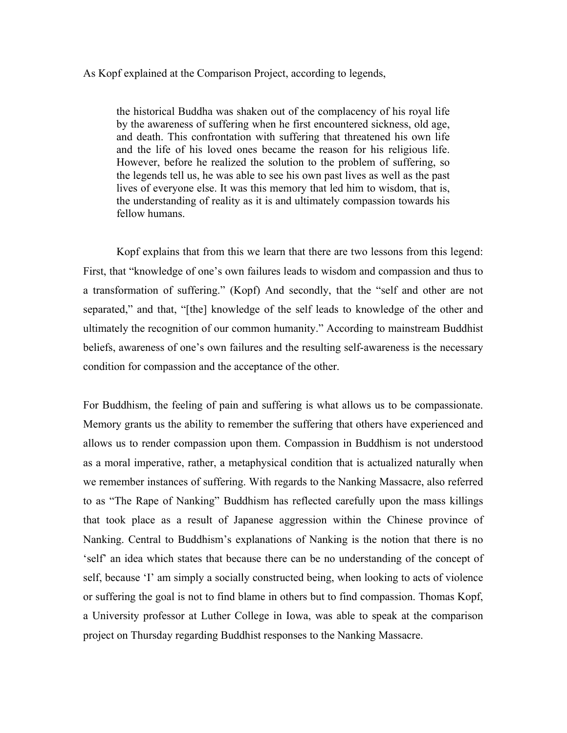## As Kopf explained at the Comparison Project, according to legends,

the historical Buddha was shaken out of the complacency of his royal life by the awareness of suffering when he first encountered sickness, old age, and death. This confrontation with suffering that threatened his own life and the life of his loved ones became the reason for his religious life. However, before he realized the solution to the problem of suffering, so the legends tell us, he was able to see his own past lives as well as the past lives of everyone else. It was this memory that led him to wisdom, that is, the understanding of reality as it is and ultimately compassion towards his fellow humans.

Kopf explains that from this we learn that there are two lessons from this legend: First, that "knowledge of one's own failures leads to wisdom and compassion and thus to a transformation of suffering." (Kopf) And secondly, that the "self and other are not separated," and that, "[the] knowledge of the self leads to knowledge of the other and ultimately the recognition of our common humanity." According to mainstream Buddhist beliefs, awareness of one's own failures and the resulting self-awareness is the necessary condition for compassion and the acceptance of the other.

For Buddhism, the feeling of pain and suffering is what allows us to be compassionate. Memory grants us the ability to remember the suffering that others have experienced and allows us to render compassion upon them. Compassion in Buddhism is not understood as a moral imperative, rather, a metaphysical condition that is actualized naturally when we remember instances of suffering. With regards to the Nanking Massacre, also referred to as "The Rape of Nanking" Buddhism has reflected carefully upon the mass killings that took place as a result of Japanese aggression within the Chinese province of Nanking. Central to Buddhism's explanations of Nanking is the notion that there is no 'self' an idea which states that because there can be no understanding of the concept of self, because 'I' am simply a socially constructed being, when looking to acts of violence or suffering the goal is not to find blame in others but to find compassion. Thomas Kopf, a University professor at Luther College in Iowa, was able to speak at the comparison project on Thursday regarding Buddhist responses to the Nanking Massacre.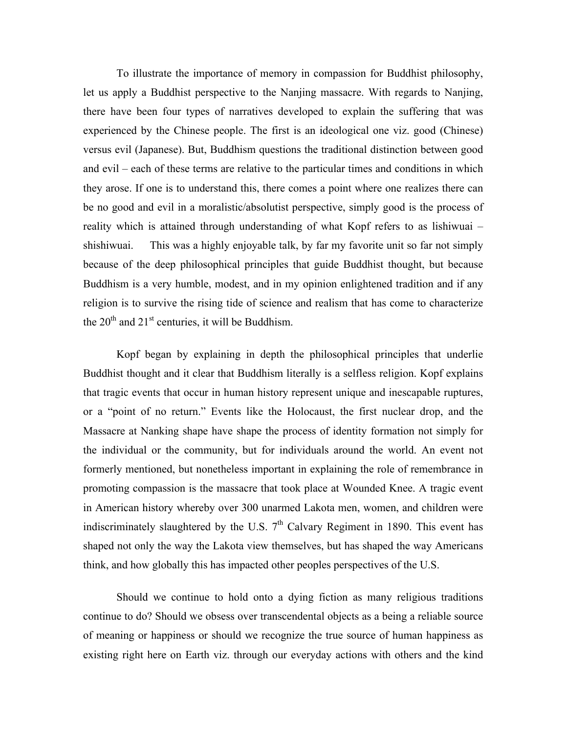To illustrate the importance of memory in compassion for Buddhist philosophy, let us apply a Buddhist perspective to the Nanjing massacre. With regards to Nanjing, there have been four types of narratives developed to explain the suffering that was experienced by the Chinese people. The first is an ideological one viz. good (Chinese) versus evil (Japanese). But, Buddhism questions the traditional distinction between good and evil – each of these terms are relative to the particular times and conditions in which they arose. If one is to understand this, there comes a point where one realizes there can be no good and evil in a moralistic/absolutist perspective, simply good is the process of reality which is attained through understanding of what Kopf refers to as lishiwuai – shishiwuai. This was a highly enjoyable talk, by far my favorite unit so far not simply because of the deep philosophical principles that guide Buddhist thought, but because Buddhism is a very humble, modest, and in my opinion enlightened tradition and if any religion is to survive the rising tide of science and realism that has come to characterize the  $20<sup>th</sup>$  and  $21<sup>st</sup>$  centuries, it will be Buddhism.

Kopf began by explaining in depth the philosophical principles that underlie Buddhist thought and it clear that Buddhism literally is a selfless religion. Kopf explains that tragic events that occur in human history represent unique and inescapable ruptures, or a "point of no return." Events like the Holocaust, the first nuclear drop, and the Massacre at Nanking shape have shape the process of identity formation not simply for the individual or the community, but for individuals around the world. An event not formerly mentioned, but nonetheless important in explaining the role of remembrance in promoting compassion is the massacre that took place at Wounded Knee. A tragic event in American history whereby over 300 unarmed Lakota men, women, and children were indiscriminately slaughtered by the U.S.  $7<sup>th</sup>$  Calvary Regiment in 1890. This event has shaped not only the way the Lakota view themselves, but has shaped the way Americans think, and how globally this has impacted other peoples perspectives of the U.S.

Should we continue to hold onto a dying fiction as many religious traditions continue to do? Should we obsess over transcendental objects as a being a reliable source of meaning or happiness or should we recognize the true source of human happiness as existing right here on Earth viz. through our everyday actions with others and the kind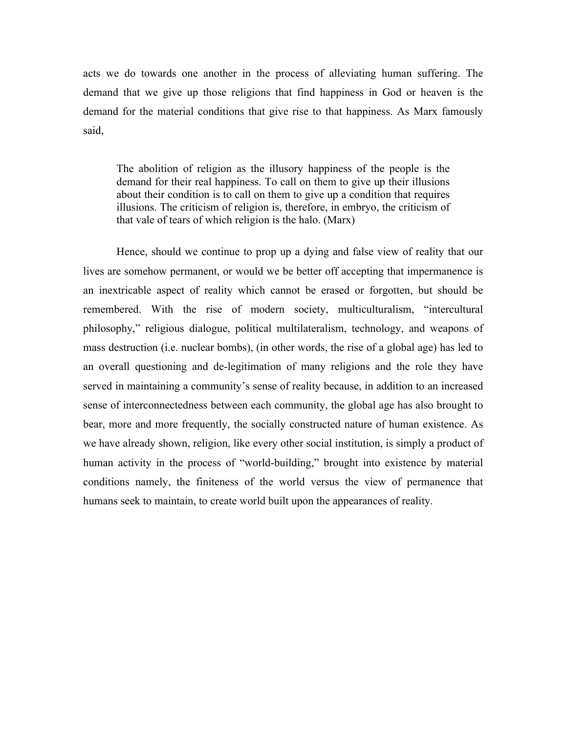acts we do towards one another in the process of alleviating human suffering. The demand that we give up those religions that find happiness in God or heaven is the demand for the material conditions that give rise to that happiness. As Marx famously said,

The abolition of religion as the illusory happiness of the people is the demand for their real happiness. To call on them to give up their illusions about their condition is to call on them to give up a condition that requires illusions. The criticism of religion is, therefore, in embryo, the criticism of that vale of tears of which religion is the halo. (Marx)

Hence, should we continue to prop up a dying and false view of reality that our lives are somehow permanent, or would we be better off accepting that impermanence is an inextricable aspect of reality which cannot be erased or forgotten, but should be remembered. With the rise of modern society, multiculturalism, "intercultural philosophy," religious dialogue, political multilateralism, technology, and weapons of mass destruction (i.e. nuclear bombs), (in other words, the rise of a global age) has led to an overall questioning and de-legitimation of many religions and the role they have served in maintaining a community's sense of reality because, in addition to an increased sense of interconnectedness between each community, the global age has also brought to bear, more and more frequently, the socially constructed nature of human existence. As we have already shown, religion, like every other social institution, is simply a product of human activity in the process of "world-building," brought into existence by material conditions namely, the finiteness of the world versus the view of permanence that humans seek to maintain, to create world built upon the appearances of reality.